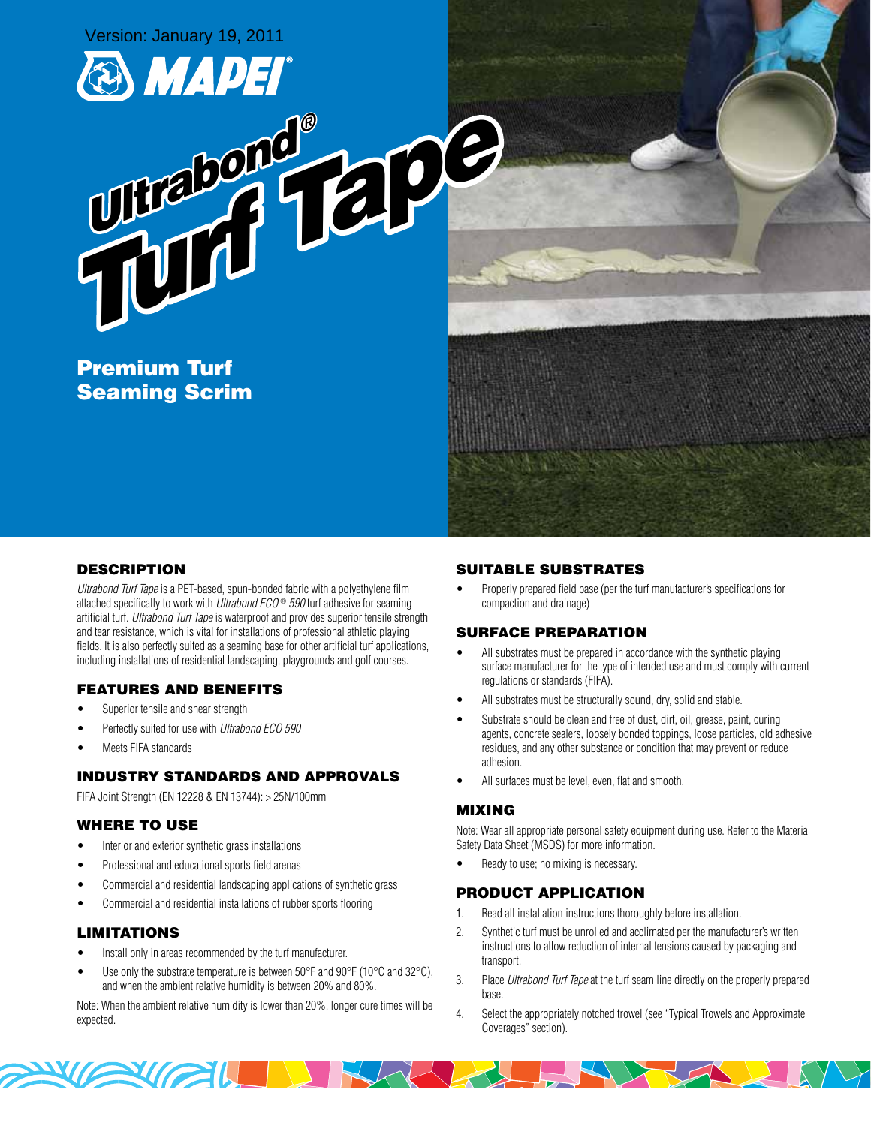



Premium Turf Seaming Scrim

# **DESCRIPTION**

Ultrabond Turf Tape is a PET-based, spun-bonded fabric with a polyethylene film attached specifically to work with *Ultrabond ECO*<sup>®</sup> 590 turf adhesive for seaming artificial turf. Ultrabond Turf Tape is waterproof and provides superior tensile strength and tear resistance, which is vital for installations of professional athletic playing fields. It is also perfectly suited as a seaming base for other artificial turf applications, including installations of residential landscaping, playgrounds and golf courses.

## Features and Benefits

- Superior tensile and shear strength
- Perfectly suited for use with Ultrabond ECO 590
- **Meets FIFA standards**

## Industry Standards and Approvals

FIFA Joint Strength (EN 12228 & EN 13744): > 25N/100mm

## Where to Use

- Interior and exterior synthetic grass installations
- Professional and educational sports field arenas

**XIZIL** 

- Commercial and residential landscaping applications of synthetic grass
- Commercial and residential installations of rubber sports flooring

## **LIMITATIONS**

- Install only in areas recommended by the turf manufacturer.
- Use only the substrate temperature is between  $50^{\circ}$ F and  $90^{\circ}$ F (10 $^{\circ}$ C and 32 $^{\circ}$ C), and when the ambient relative humidity is between 20% and 80%.

Note: When the ambient relative humidity is lower than 20%, longer cure times will be expected.

## Suitable Substrates

Properly prepared field base (per the turf manufacturer's specifications for compaction and drainage)

## Surface Preparation

- All substrates must be prepared in accordance with the synthetic playing surface manufacturer for the type of intended use and must comply with current regulations or standards (FIFA).
- All substrates must be structurally sound, dry, solid and stable.
- Substrate should be clean and free of dust, dirt, oil, grease, paint, curing agents, concrete sealers, loosely bonded toppings, loose particles, old adhesive residues, and any other substance or condition that may prevent or reduce adhesion.
- All surfaces must be level, even, flat and smooth.

#### Mixing

Note: Wear all appropriate personal safety equipment during use. Refer to the Material Safety Data Sheet (MSDS) for more information.

Ready to use; no mixing is necessary.

#### Product Application

- 1. Read all installation instructions thoroughly before installation.
- 2. Synthetic turf must be unrolled and acclimated per the manufacturer's written instructions to allow reduction of internal tensions caused by packaging and transport.
- 3. Place Ultrabond Turf Tape at the turf seam line directly on the properly prepared base.
- 4. Select the appropriately notched trowel (see "Typical Trowels and Approximate Coverages" section).